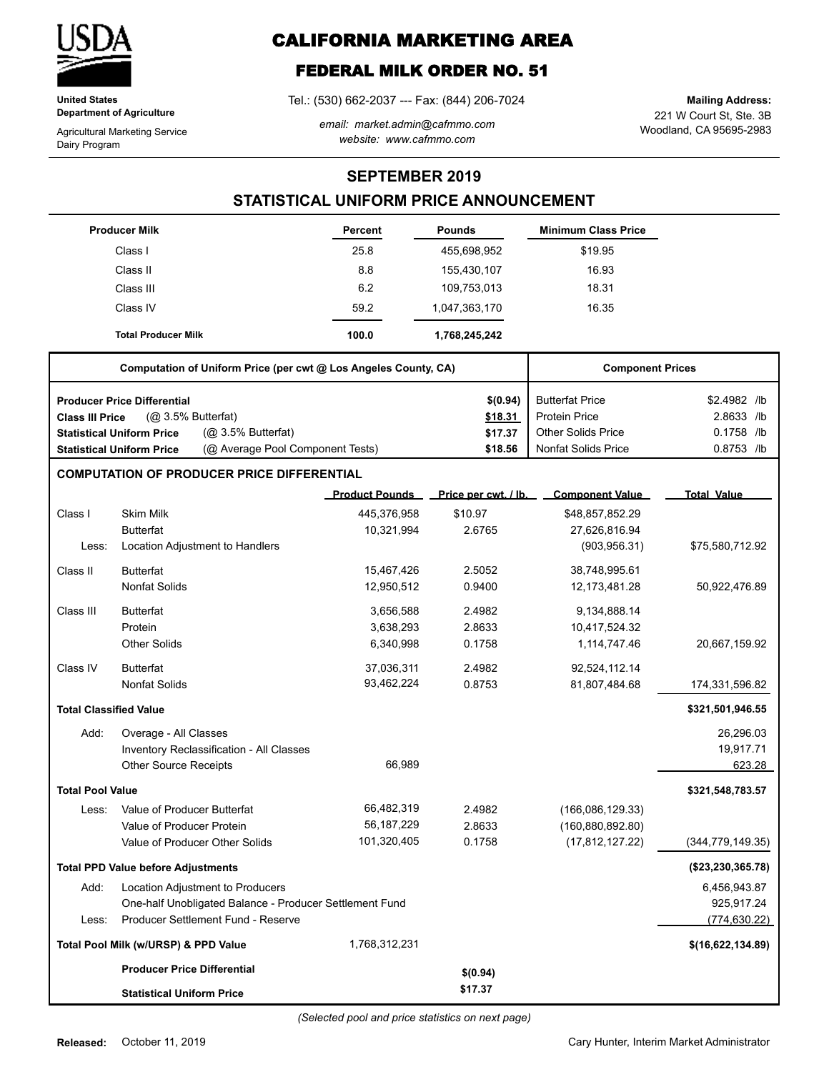

**United States Department of Agriculture**

Agricultural Marketing Service Dairy Program

# **CALIFORNIA MARKETING AREA**

## **FEDERAL MILK ORDER NO. 51**

Tel.: (530) 662-2037 --- Fax: (844) 206-7024

*email: market.admin@cafmmo.com website: www.cafmmo.com*

221 W Court St, Ste. 3B Woodland, CA 95695-2983 **Mailing Address:**

**SEPTEMBER 2019**

### **STATISTICAL UNIFORM PRICE ANNOUNCEMENT**

|                               | <b>Producer Milk</b>                                                 | <b>Percent</b>        | <b>Pounds</b>        | <b>Minimum Class Price</b> |                    |
|-------------------------------|----------------------------------------------------------------------|-----------------------|----------------------|----------------------------|--------------------|
|                               | Class I                                                              | 25.8                  | 455,698,952          | \$19.95                    |                    |
|                               | Class II                                                             | 8.8                   | 155,430,107          | 16.93                      |                    |
|                               | Class III                                                            | 6.2                   | 109,753,013          | 18.31                      |                    |
|                               | Class IV                                                             | 59.2                  | 1,047,363,170        | 16.35                      |                    |
|                               | <b>Total Producer Milk</b>                                           | 100.0                 | 1,768,245,242        |                            |                    |
|                               | Computation of Uniform Price (per cwt @ Los Angeles County, CA)      |                       |                      | <b>Component Prices</b>    |                    |
|                               | <b>Producer Price Differential</b>                                   |                       | \$(0.94)             | <b>Butterfat Price</b>     | \$2.4982 /lb       |
| <b>Class III Price</b>        | $(Q0 3.5%$ Butterfat)                                                |                       | \$18.31              | <b>Protein Price</b>       | 2.8633 /lb         |
|                               | (Q <sub>2</sub> 3.5% Butterfat)<br><b>Statistical Uniform Price</b>  |                       | \$17.37              | <b>Other Solids Price</b>  | 0.1758 /lb         |
|                               | (@ Average Pool Component Tests)<br><b>Statistical Uniform Price</b> |                       | \$18.56              | <b>Nonfat Solids Price</b> | 0.8753 /lb         |
|                               | <b>COMPUTATION OF PRODUCER PRICE DIFFERENTIAL</b>                    |                       |                      |                            |                    |
|                               |                                                                      | <b>Product Pounds</b> | Price per cwt. / lb. | <b>Component Value</b>     | <b>Total Value</b> |
| Class I                       | <b>Skim Milk</b>                                                     | 445,376,958           | \$10.97              | \$48,857,852.29            |                    |
|                               | <b>Butterfat</b>                                                     | 10,321,994            | 2.6765               | 27,626,816.94              |                    |
| Less:                         | Location Adjustment to Handlers                                      |                       |                      | (903, 956.31)              | \$75,580,712.92    |
| Class II                      | <b>Butterfat</b>                                                     | 15,467,426            | 2.5052               | 38,748,995.61              |                    |
|                               | <b>Nonfat Solids</b>                                                 | 12,950,512            | 0.9400               | 12,173,481.28              | 50,922,476.89      |
| Class III                     | <b>Butterfat</b>                                                     | 3,656,588             | 2.4982               | 9,134,888.14               |                    |
|                               | Protein                                                              | 3,638,293             | 2.8633               | 10,417,524.32              |                    |
|                               | <b>Other Solids</b>                                                  | 6,340,998             | 0.1758               | 1,114,747.46               | 20,667,159.92      |
| Class IV                      | <b>Butterfat</b>                                                     | 37,036,311            | 2.4982               | 92,524,112.14              |                    |
|                               | <b>Nonfat Solids</b>                                                 | 93,462,224            | 0.8753               | 81,807,484.68              | 174,331,596.82     |
| <b>Total Classified Value</b> |                                                                      |                       |                      |                            | \$321,501,946.55   |
| Add:                          | Overage - All Classes                                                |                       |                      |                            | 26,296.03          |
|                               | Inventory Reclassification - All Classes                             |                       |                      |                            | 19,917.71          |
|                               | <b>Other Source Receipts</b>                                         | 66,989                |                      |                            | 623.28             |
| <b>Total Pool Value</b>       |                                                                      |                       |                      |                            | \$321,548,783.57   |
| Less:                         | Value of Producer Butterfat                                          | 66,482,319            | 2.4982               | (166,086,129.33)           |                    |
|                               | Value of Producer Protein                                            | 56, 187, 229          | 2.8633               | (160, 880, 892.80)         |                    |
|                               | Value of Producer Other Solids                                       | 101,320,405           | 0.1758               | (17, 812, 127.22)          | (344, 779, 149.35) |
|                               | <b>Total PPD Value before Adjustments</b>                            |                       |                      |                            | (\$23,230,365.78)  |
| Add:                          | Location Adjustment to Producers                                     |                       |                      |                            | 6,456,943.87       |
|                               | One-half Unobligated Balance - Producer Settlement Fund              |                       |                      |                            | 925,917.24         |
| Less:                         | Producer Settlement Fund - Reserve                                   |                       |                      |                            | (774, 630.22)      |
|                               | Total Pool Milk (w/URSP) & PPD Value                                 | 1,768,312,231         |                      |                            | \$(16,622,134.89)  |
|                               | <b>Producer Price Differential</b>                                   |                       | \$(0.94)             |                            |                    |
|                               | <b>Statistical Uniform Price</b>                                     |                       | \$17.37              |                            |                    |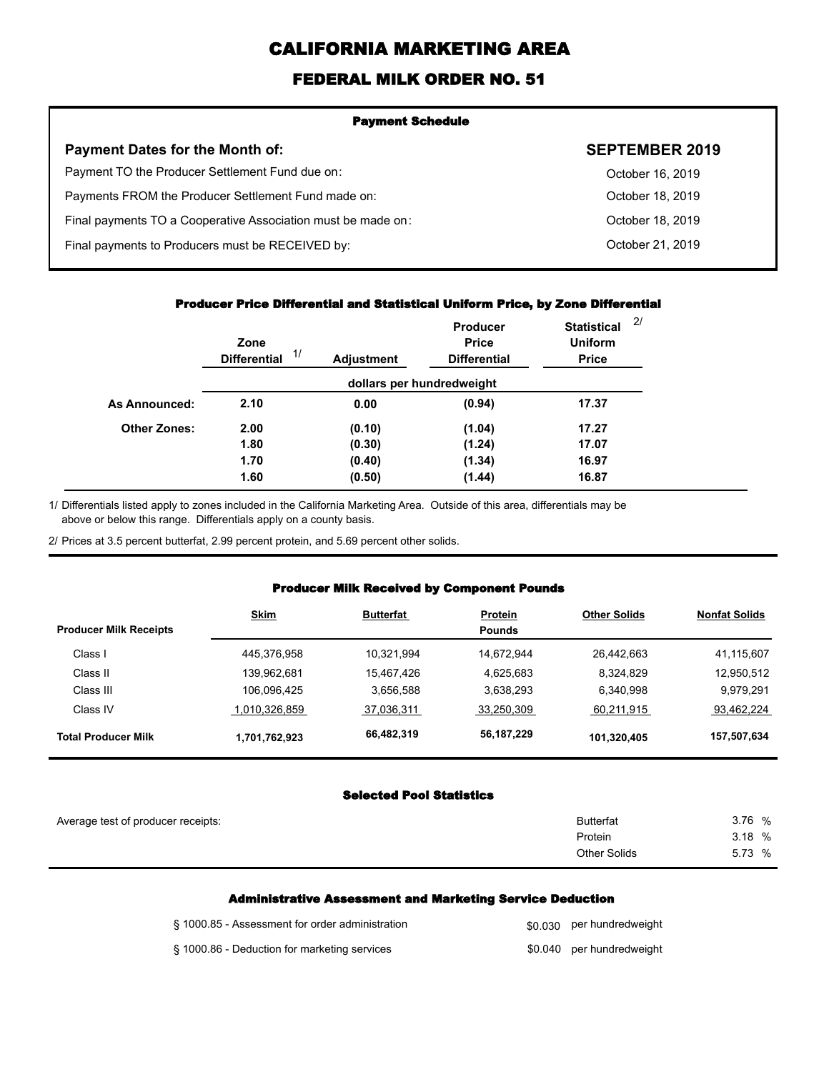# **CALIFORNIA MARKETING AREA**

## **FEDERAL MILK ORDER NO. 51**

| <b>Payment Schedule</b>                                      |                       |  |
|--------------------------------------------------------------|-----------------------|--|
| <b>Payment Dates for the Month of:</b>                       | <b>SEPTEMBER 2019</b> |  |
| Payment TO the Producer Settlement Fund due on:              | October 16, 2019      |  |
| Payments FROM the Producer Settlement Fund made on:          | October 18, 2019      |  |
| Final payments TO a Cooperative Association must be made on: | October 18, 2019      |  |
| Final payments to Producers must be RECEIVED by:             | October 21, 2019      |  |
|                                                              |                       |  |

#### **Producer Price Differential and Statistical Uniform Price, by Zone Differential**

|                     | Zone<br>1/<br><b>Differential</b> | <b>Adjustment</b> | <b>Producer</b><br><b>Price</b><br><b>Differential</b> | <b>Statistical</b><br><b>Uniform</b><br><b>Price</b> | 2/ |
|---------------------|-----------------------------------|-------------------|--------------------------------------------------------|------------------------------------------------------|----|
|                     |                                   |                   | dollars per hundredweight                              |                                                      |    |
| As Announced:       | 2.10                              | 0.00              | (0.94)                                                 | 17.37                                                |    |
| <b>Other Zones:</b> | 2.00                              | (0.10)            | (1.04)                                                 | 17.27                                                |    |
|                     | 1.80                              | (0.30)            | (1.24)                                                 | 17.07                                                |    |
|                     | 1.70                              | (0.40)            | (1.34)                                                 | 16.97                                                |    |
|                     | 1.60                              | (0.50)            | (1.44)                                                 | 16.87                                                |    |

Differentials listed apply to zones included in the California Marketing Area. Outside of this area, differentials may be above or below this range. Differentials apply on a county basis. 1/

2/ Prices at 3.5 percent butterfat, 2.99 percent protein, and 5.69 percent other solids.

#### **Producer Milk Received by Component Pounds**

|                               | <b>Skim</b>   | <b>Butterfat</b> | <b>Protein</b> | <b>Other Solids</b> | <b>Nonfat Solids</b> |
|-------------------------------|---------------|------------------|----------------|---------------------|----------------------|
| <b>Producer Milk Receipts</b> |               |                  | <b>Pounds</b>  |                     |                      |
| Class I                       | 445,376,958   | 10.321.994       | 14.672.944     | 26.442.663          | 41,115,607           |
| Class II                      | 139,962,681   | 15.467.426       | 4,625,683      | 8,324,829           | 12,950,512           |
| Class III                     | 106,096,425   | 3.656.588        | 3,638,293      | 6,340,998           | 9.979.291            |
| Class IV                      | 1,010,326,859 | 37,036,311       | 33,250,309     | 60.211.915          | 93,462,224           |
| <b>Total Producer Milk</b>    | 1,701,762,923 | 66,482,319       | 56,187,229     | 101,320,405         | 157,507,634          |

#### **Selected Pool Statistics**

| Average test of producer receipts: | <b>Butterfat</b>    | 3.76 % |
|------------------------------------|---------------------|--------|
|                                    | Protein             | 3.18%  |
|                                    | <b>Other Solids</b> | 5.73 % |
|                                    |                     |        |

#### **Administrative Assessment and Marketing Service Deduction**

| § 1000.85 - Assessment for order administration | \$0,030 per hundredweight |
|-------------------------------------------------|---------------------------|
| § 1000.86 - Deduction for marketing services    | \$0.040 per hundredweight |